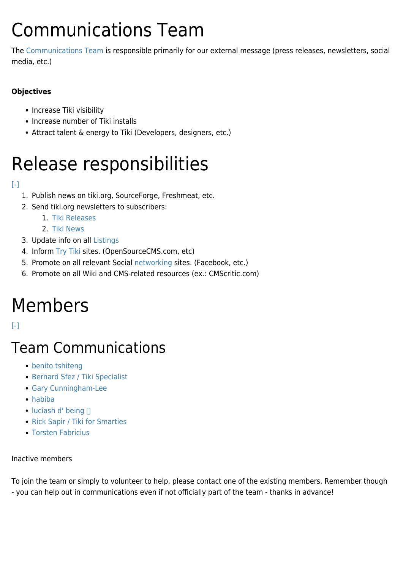# Communications Team

The [Communications Team](https://tiki.org/Communications-Team) is responsible primarily for our external message (press releases, newsletters, social media, etc.)

#### **Objectives**

- Increase Tiki visibility
- Increase number of Tiki installs
- Attract talent & energy to Tiki (Developers, designers, etc.)

# Release responsibilities

#### [\[-\]](#page--1-0)

- 1. Publish news on tiki.org, SourceForge, Freshmeat, etc.
- 2. Send tiki.org newsletters to subscribers:
	- 1. [Tiki Releases](https://tiki.org/tiki-newsletters.php?nlId=8&info=1)
	- 2. [Tiki News](https://tiki.org/tiki-newsletters.php?nlId=6&info=1)
- 3. Update info on all [Listings](https://tiki.org/Listings)
- 4. Inform [Try Tiki](https://tiki.org/Try-Tiki) sites. (OpenSourceCMS.com, etc)
- 5. Promote on all relevant Social [networking](https://tiki.org/Networks) sites. (Facebook, etc.)
- 6. Promote on all Wiki and CMS-related resources (ex.: CMScritic.com)

# Members

 $[ - ]$ 

### Team Communications

- [benito.tshiteng](https://tiki.org/user37516)
- [Bernard Sfez / Tiki Specialist](https://tiki.org/user1974)
- [Gary Cunningham-Lee](https://tiki.org/user342)
- [habiba](https://tiki.org/user38228)
- $\bullet$  [luciash d' being](https://tiki.org/user199)  $\Box$
- [Rick Sapir / Tiki for Smarties](https://tiki.org/user6399)
- [Torsten Fabricius](https://tiki.org/user19665)

#### Inactive members

To join the team or simply to volunteer to help, please contact one of the existing members. Remember though - you can help out in communications even if not officially part of the team - thanks in advance!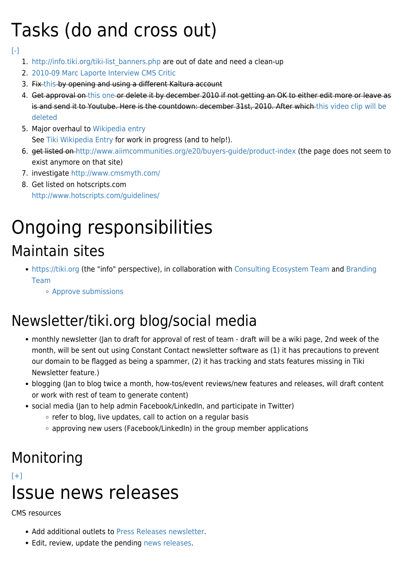# Tasks (do and cross out)

[\[-\]](#page--1-0)

- 1. [http://info.tiki.org/tiki-list\\_banners.php](http://info.tiki.org/tiki-list_banners.php) are out of date and need a clean-up
- 2. [2010-09 Marc Laporte Interview CMS Critic](https://tiki.org/2010-09-Marc-Laporte-Interview-CMS-Critic)
- 3. Fix [this](http://tiki.org/Upcoming+News#A_Real_Multilingual_Wiki_Solution) by opening and using a different Kaltura account
- 4. Get approval on [this one](http://info.tiki.org/article99-Tiki-Community-Releases-First-Video-Interview) or delete it by december 2010 if not getting an OK to either edit more or leave as is and send it to Youtube. Here is the countdown: december 31st, 2010. After which [this video clip will be](http://info.tiki.org/article99-Tiki-Community-Releases-First-Video-Interview) [deleted](http://info.tiki.org/article99-Tiki-Community-Releases-First-Video-Interview)
- 5. Major overhaul to [Wikipedia entry](http://en.wikipedia.org/wiki/TikiWiki) See [Tiki Wikipedia Entry](https://tiki.org/Tiki-Wikipedia-Entry) for work in progress (and to help!).
- 6. get listed on<http://www.aiimcommunities.org/e20/buyers-guide/product-index> (the page does not seem to exist anymore on that site)
- 7. investigate<http://www.cmsmyth.com/>
- 8. Get listed on hotscripts.com <http://www.hotscripts.com/guidelines/>

## Ongoing responsibilities Maintain sites

- <https://tiki.org> (the "info" perspective), in collaboration with [Consulting Ecosystem Team](https://tiki.org/Consulting-Ecosystem-Team) and [Branding](https://tiki.org/Branding-Team) [Team](https://tiki.org/Branding-Team)
	- [Approve submissions](tiki-list_submissions.php)

## Newsletter/tiki.org blog/social media

- monthly newsletter (Jan to draft for approval of rest of team draft will be a wiki page, 2nd week of the month, will be sent out using Constant Contact newsletter software as (1) it has precautions to prevent our domain to be flagged as being a spammer, (2) it has tracking and stats features missing in Tiki Newsletter feature.)
- blogging (Jan to blog twice a month, how-tos/event reviews/new features and releases, will draft content or work with rest of team to generate content)
- social media (Jan to help admin Facebook/LinkedIn, and participate in Twitter)
	- refer to blog, live updates, call to action on a regular basis
	- approving new users (Facebook/LinkedIn) in the group member applications

## Monitoring

#### $[+]$ Issue news releases

#### CMS resources

- Add additional outlets to [Press Releases newsletter.](http://tiki.org/tiki-newsletters.php?nlId=6&info=1)
- Edit, review, update the pending [news releases.](https://tiki.org/tiki-index.php?page=Communications%20Team&pagenum=2)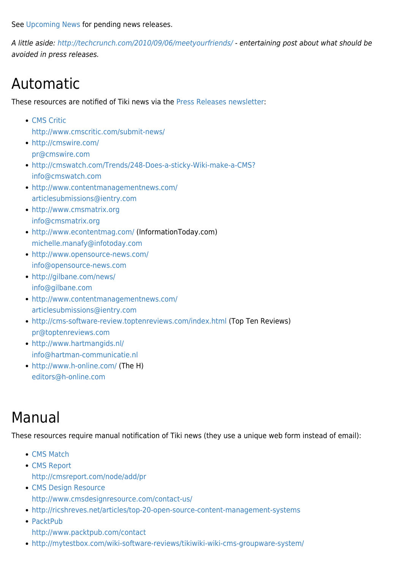See [Upcoming News](https://tiki.org/Upcoming-News) for pending news releases.

A little aside:<http://techcrunch.com/2010/09/06/meetyourfriends/> - entertaining post about what should be avoided in press releases.

### Automatic

These resources are notified of Tiki news via the [Press Releases newsletter](https://tiki.org/tiki-newsletters.php?nlId=6&info=1):

- [CMS Critic](http://www.cmscritic.com) <http://www.cmscritic.com/submit-news/>
- <http://cmswire.com/> [pr@cmswire.com](mailto:pr@cmswire.com)
- <http://cmswatch.com/Trends/248-Does-a-sticky-Wiki-make-a-CMS?> [info@cmswatch.com](mailto:info@cmswatch.com)
- <http://www.contentmanagementnews.com/> [articlesubmissions@ientry.com](mailto:articlesubmissions@ientry.com)
- <http://www.cmsmatrix.org> [info@cmsmatrix.org](mailto:info@cmsmatrix.org)
- <http://www.econtentmag.com/> (InformationToday.com) [michelle.manafy@infotoday.com](mailto:michelle.manafy@infotoday.com)
- <http://www.opensource-news.com/> [info@opensource-news.com](mailto:info@opensource-news.com)
- <http://gilbane.com/news/> [info@gilbane.com](mailto:info@gilbane.com)
- <http://www.contentmanagementnews.com/> [articlesubmissions@ientry.com](mailto:articlesubmissions@ientry.com)
- <http://cms-software-review.toptenreviews.com/index.html>(Top Ten Reviews) [pr@toptenreviews.com](mailto:pr@toptenreviews.com)
- <http://www.hartmangids.nl/> [info@hartman-communicatie.nl](mailto:info@hartman-communicatie.nl)
- <http://www.h-online.com/> (The H) [editors@h-online.com](mailto:editors@h-online.com)

### Manual

These resources require manual notification of Tiki news (they use a unique web form instead of email):

- [CMS Match](http://www.cmsmatch.com/contact)
- [CMS Report](http://cmsreport.com/) <http://cmsreport.com/node/add/pr>
- [CMS Design Resource](http://cmsdesignresource.com/) <http://www.cmsdesignresource.com/contact-us/>
- <http://ricshreves.net/articles/top-20-open-source-content-management-systems>
- [PacktPub](http://packtpub.com/) <http://www.packtpub.com/contact>
- <http://mytestbox.com/wiki-software-reviews/tikiwiki-wiki-cms-groupware-system/>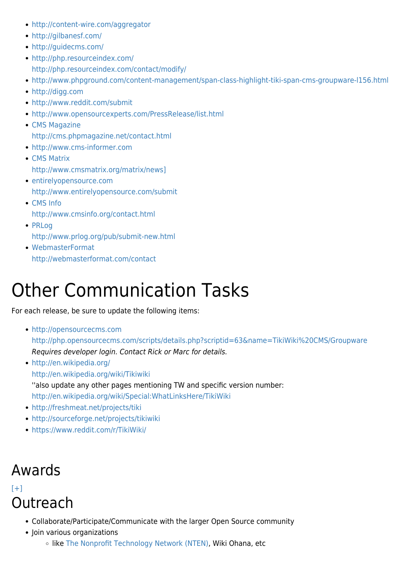- <http://content-wire.com/aggregator>
- <http://gilbanesf.com/>
- <http://guidecms.com/>
- <http://php.resourceindex.com/> <http://php.resourceindex.com/contact/modify/>
- <http://www.phpground.com/content-management/span-class-highlight-tiki-span-cms-groupware-l156.html>
- <http://digg.com>
- <http://www.reddit.com/submit>
- <http://www.opensourcexperts.com/PressRelease/list.html>
- [CMS Magazine](http://cms.phpmagazone.net) <http://cms.phpmagazine.net/contact.html>
- <http://www.cms-informer.com>
- [CMS Matrix](http://www.cmsmatrix.org) [http://www.cmsmatrix.org/matrix/news\]](http://www.cmsmatrix.org/matrix/news%5D)
- [entirelyopensource.com](http://www.entirelyopensource.com/) <http://www.entirelyopensource.com/submit>
- [CMS Info](http://www.cmsinfo.org/) <http://www.cmsinfo.org/contact.html>
- [PRLog](http://www.prlog.org/) <http://www.prlog.org/pub/submit-new.html>
- [WebmasterFormat](http://webmasterformat.com/) <http://webmasterformat.com/contact>

# Other Communication Tasks

For each release, be sure to update the following items:

- <http://opensourcecms.com> <http://php.opensourcecms.com/scripts/details.php?scriptid=63&name=TikiWiki%20CMS/Groupware> Requires developer login. Contact Rick or Marc for details.
- <http://en.wikipedia.org/> <http://en.wikipedia.org/wiki/Tikiwiki> ''also update any other pages mentioning TW and specific version number: <http://en.wikipedia.org/wiki/Special:WhatLinksHere/TikiWiki>
- <http://freshmeat.net/projects/tiki>
- <http://sourceforge.net/projects/tikiwiki>
- <https://www.reddit.com/r/TikiWiki/>

### Awards

#### $[+]$ **Outreach**

- Collaborate/Participate/Communicate with the larger Open Source community
- Join various organizations
	- o like [The Nonprofit Technology Network \(NTEN\)](http://nten.org/join), Wiki Ohana, etc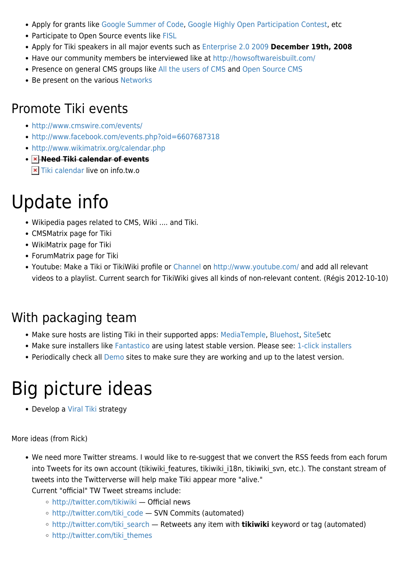- Apply for grants like [Google Summer of Code](https://tiki.org/Google-Summer-of-Code), [Google Highly Open Participation Contest](http://code.google.com/opensource/ghop/), etc
- Participate to Open Source events like [FISL](http://fisl.org.br)
- Apply for Tiki speakers in all major events such as [Enterprise 2.0 2009](http://www.e2conf.com/call-for-papers/) **December 19th, 2008**
- Have our community members be interviewed like at <http://howsoftwareisbuilt.com/>
- Presence on general CMS groups like [All the users of CMS](http://www.facebook.com/group.php?gid=4890054871) and [Open Source CMS](http://www.facebook.com/group.php?gid=6486273769)
- Be present on the various [Networks](https://tiki.org/Networks)

#### Promote Tiki events

- <http://www.cmswire.com/events/>
- <http://www.facebook.com/events.php?oid=6607687318>
- <http://www.wikimatrix.org/calendar.php>
- **Need Tiki calendar of events**
	- **x** [Tiki calendar](http://info.tiki.org/tiki-calendar.php) live on info.tw.o

# Update info

- Wikipedia pages related to CMS, Wiki .... and Tiki.
- CMSMatrix page for Tiki
- WikiMatrix page for Tiki
- ForumMatrix page for Tiki
- Youtube: Make a Tiki or TikiWiki profile or [Channel](http://support.google.com/youtube/bin/answer.py?hl=en&answer=2685823&rd=1) on<http://www.youtube.com/>and add all relevant videos to a playlist. Current search for TikiWiki gives all kinds of non-relevant content. (Régis 2012-10-10)

### With packaging team

- Make sure hosts are listing Tiki in their supported apps: [MediaTemple,](http://www.mediatemple.net/webhosting/gs/faq.htm) [Bluehost](http://helpdesk.bluehost.com/kb/index.php?mod_id=2&kb_keywords=tikiwiki), [Site5e](http://wiki.site5.com/TikiWiki)tc
- Make sure installers like [Fantastico](http://netenberg.com/fantastico_scripts.php) are using latest stable version. Please see: [1-click installers](https://tiki.org/1-click-installers)
- Periodically check all [Demo](http://info.tiki.org/Demo) sites to make sure they are working and up to the latest version.

# Big picture ideas

• Develop a [Viral Tiki](https://tiki.org/Viral-Tiki) strategy

More ideas (from Rick)

We need more Twitter streams. I would like to re-suggest that we convert the RSS feeds from each forum into Tweets for its own account (tikiwiki\_features, tikiwiki\_i18n, tikiwiki\_svn, etc.). The constant stream of tweets into the Twitterverse will help make Tiki appear more "alive."

Current "official" TW Tweet streams include:

- <http://twitter.com/tikiwiki> Official news
- o [http://twitter.com/tiki\\_code](http://twitter.com/tiki_code)  SVN Commits (automated)
- o http://twitter.com/tiki search Retweets any item with **tikiwiki** keyword or tag (automated)
- [http://twitter.com/tiki\\_themes](http://twitter.com/tiki_themes)